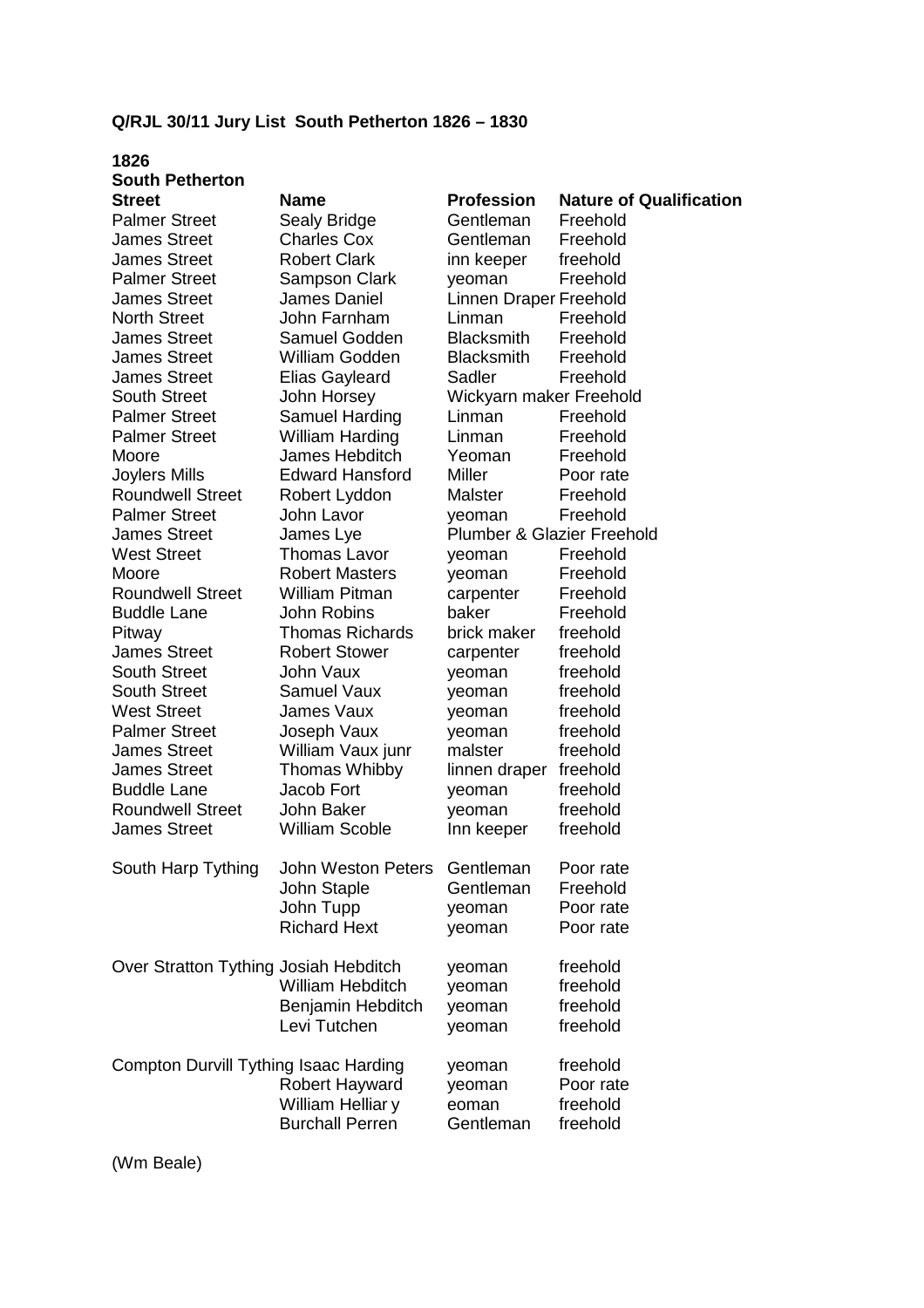## **Q/RJL 30/11 Jury List South Petherton 1826 – 1830**

## **1826 South Petherton Street Name Profession Nature of Qualification**  Palmer Street Sealy Bridge Gentleman Freehold James Street Charles Cox Gentleman Freehold James Street Robert Clark inn keeper freehold Palmer Street Sampson Clark yeoman Freehold James Street James Daniel Linnen Draper Freehold North Street John Farnham Linman Freehold James Street Samuel Godden Blacksmith Freehold James Street William Godden Blacksmith Freehold James Street Elias Gayleard Sadler Freehold South Street John Horsey Wickyarn maker Freehold Palmer Street Samuel Harding Linman Freehold Palmer Street William Harding Linman Freehold Moore James Hebditch Yeoman Freehold Joylers Mills Edward Hansford Miller Poor rate Roundwell Street Robert Lyddon Malster Freehold Palmer Street John Lavor yeoman Freehold James Street James Lye Plumber & Glazier Freehold West Street Thomas Lavor veoman Freehold Moore **Robert Masters** yeoman Freehold Roundwell Street William Pitman carpenter Freehold Buddle Lane John Robins baker Freehold Pitway Thomas Richards brick maker freehold James Street Robert Stower carpenter freehold South Street 50 John Vaux 50 Veoman 50 Veoman South Street Samuel Vaux veoman freehold West Street **James Vaux** yeoman freehold Palmer Street Joseph Vaux yeoman freehold James Street William Vaux junr malster freehold James Street Thomas Whibby linnen draper freehold Buddle Lane Jacob Fort yeoman freehold Roundwell Street John Baker veoman freehold James Street William Scoble Inn keeper freehold South Harp Tything John Weston Peters Gentleman Poor rate John Staple Gentleman Freehold John Tupp yeoman Poor rate Richard Hext veoman Poor rate Over Stratton Tything Josiah Hebditch yeoman freehold William Hebditch veoman freehold Benjamin Hebditch yeoman freehold Levi Tutchen yeoman freehold Compton Durvill Tything Isaac Harding veoman freehold Robert Hayward yeoman Poor rate

William Helliar y eoman freehold Burchall Perren Gentleman freehold

(Wm Beale)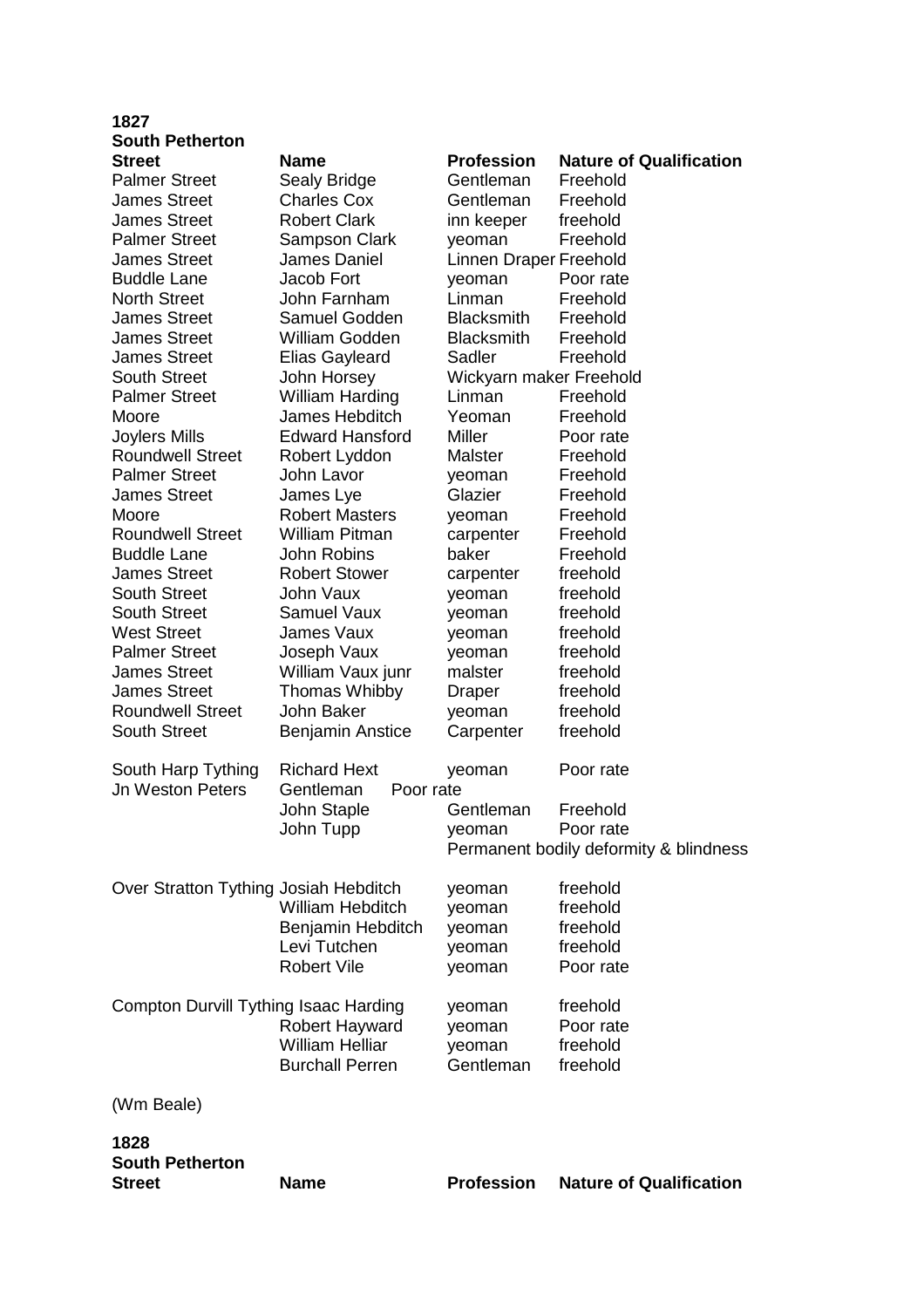| 1827                                         |                         |                         |                                        |
|----------------------------------------------|-------------------------|-------------------------|----------------------------------------|
| <b>South Petherton</b>                       |                         |                         |                                        |
| <b>Street</b>                                | <b>Name</b>             | <b>Profession</b>       | <b>Nature of Qualification</b>         |
| <b>Palmer Street</b>                         | Sealy Bridge            | Gentleman               | Freehold                               |
| <b>James Street</b>                          | <b>Charles Cox</b>      | Gentleman               | Freehold                               |
| <b>James Street</b>                          | <b>Robert Clark</b>     | inn keeper              | freehold                               |
| <b>Palmer Street</b>                         | Sampson Clark           | yeoman                  | Freehold                               |
| <b>James Street</b>                          | James Daniel            | Linnen Draper Freehold  |                                        |
| <b>Buddle Lane</b>                           | Jacob Fort              | yeoman                  | Poor rate                              |
| <b>North Street</b>                          | John Farnham            | Linman                  | Freehold                               |
| <b>James Street</b>                          | Samuel Godden           | <b>Blacksmith</b>       | Freehold                               |
| <b>James Street</b>                          | William Godden          | <b>Blacksmith</b>       | Freehold                               |
| <b>James Street</b>                          | <b>Elias Gayleard</b>   | Sadler                  | Freehold                               |
| <b>South Street</b>                          | John Horsey             | Wickyarn maker Freehold |                                        |
| <b>Palmer Street</b>                         | <b>William Harding</b>  | Linman                  | Freehold                               |
| Moore                                        | James Hebditch          | Yeoman                  | Freehold                               |
| <b>Joylers Mills</b>                         | <b>Edward Hansford</b>  | <b>Miller</b>           | Poor rate                              |
| <b>Roundwell Street</b>                      | Robert Lyddon           | <b>Malster</b>          | Freehold                               |
| <b>Palmer Street</b>                         | John Lavor              | yeoman                  | Freehold                               |
| <b>James Street</b>                          | James Lye               | Glazier                 | Freehold                               |
| Moore                                        | <b>Robert Masters</b>   | yeoman                  | Freehold                               |
| <b>Roundwell Street</b>                      | <b>William Pitman</b>   | carpenter               | Freehold                               |
| <b>Buddle Lane</b>                           | <b>John Robins</b>      | baker                   | Freehold                               |
| <b>James Street</b>                          | <b>Robert Stower</b>    | carpenter               | freehold                               |
| <b>South Street</b>                          | <b>John Vaux</b>        | yeoman                  | freehold                               |
| <b>South Street</b>                          | <b>Samuel Vaux</b>      | yeoman                  | freehold                               |
| <b>West Street</b>                           | James Vaux              | yeoman                  | freehold                               |
| <b>Palmer Street</b>                         | Joseph Vaux             | yeoman                  | freehold                               |
| <b>James Street</b>                          | William Vaux junr       | malster                 | freehold                               |
| <b>James Street</b>                          | <b>Thomas Whibby</b>    | <b>Draper</b>           | freehold                               |
| <b>Roundwell Street</b>                      | John Baker              | yeoman                  | freehold                               |
| <b>South Street</b>                          |                         | Carpenter               | freehold                               |
|                                              | <b>Benjamin Anstice</b> |                         |                                        |
| South Harp Tything                           | <b>Richard Hext</b>     | yeoman                  | Poor rate                              |
| <b>Jn Weston Peters</b>                      | Gentleman<br>Poor rate  |                         |                                        |
|                                              | John Staple             | Gentleman               | Freehold                               |
|                                              | John Tupp               | yeoman                  | Poor rate                              |
|                                              |                         |                         | Permanent bodily deformity & blindness |
|                                              |                         |                         |                                        |
| Over Stratton Tything Josiah Hebditch        |                         | yeoman                  | freehold                               |
|                                              | <b>William Hebditch</b> | yeoman                  | freehold                               |
|                                              | Benjamin Hebditch       | yeoman                  | freehold                               |
|                                              | Levi Tutchen            | yeoman                  | freehold                               |
|                                              | <b>Robert Vile</b>      | yeoman                  | Poor rate                              |
|                                              |                         |                         |                                        |
| <b>Compton Durvill Tything Isaac Harding</b> |                         | yeoman                  | freehold                               |
|                                              | Robert Hayward          | yeoman                  | Poor rate                              |
|                                              | <b>William Helliar</b>  | yeoman                  | freehold                               |
|                                              | <b>Burchall Perren</b>  | Gentleman               | freehold                               |
|                                              |                         |                         |                                        |
| (Wm Beale)                                   |                         |                         |                                        |
| 1828                                         |                         |                         |                                        |
| <b>South Petherton</b>                       |                         |                         |                                        |
| <b>Street</b>                                | <b>Name</b>             | <b>Profession</b>       | <b>Nature of Qualification</b>         |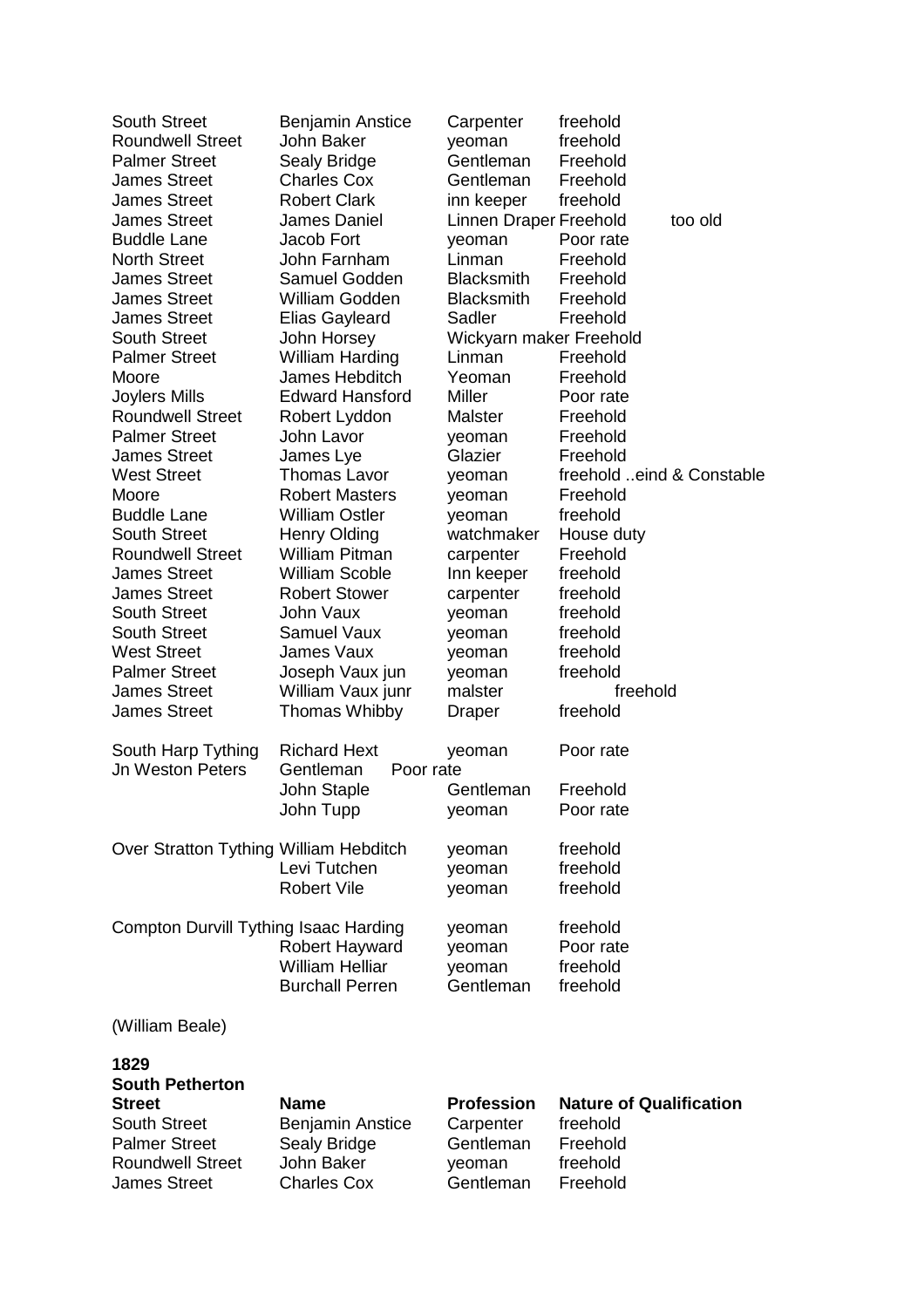| <b>South Street</b>                                                                                                       | <b>Benjamin Anstice</b>                                              | Carpenter                                             | freehold                                                           |
|---------------------------------------------------------------------------------------------------------------------------|----------------------------------------------------------------------|-------------------------------------------------------|--------------------------------------------------------------------|
| <b>Roundwell Street</b>                                                                                                   | John Baker                                                           | yeoman                                                | freehold                                                           |
| <b>Palmer Street</b>                                                                                                      | Sealy Bridge                                                         | Gentleman                                             | Freehold                                                           |
| <b>James Street</b>                                                                                                       | <b>Charles Cox</b>                                                   | Gentleman                                             | Freehold                                                           |
| <b>James Street</b>                                                                                                       | <b>Robert Clark</b>                                                  | inn keeper                                            | freehold                                                           |
| <b>James Street</b>                                                                                                       | James Daniel                                                         | Linnen Draper Freehold                                | too old                                                            |
| <b>Buddle Lane</b>                                                                                                        | Jacob Fort                                                           | yeoman                                                | Poor rate                                                          |
| <b>North Street</b>                                                                                                       | John Farnham                                                         | Linman                                                | Freehold                                                           |
| <b>James Street</b>                                                                                                       | Samuel Godden                                                        | <b>Blacksmith</b>                                     | Freehold                                                           |
| <b>James Street</b>                                                                                                       | <b>William Godden</b>                                                | <b>Blacksmith</b>                                     | Freehold                                                           |
| <b>James Street</b>                                                                                                       | <b>Elias Gayleard</b>                                                | Sadler                                                | Freehold                                                           |
| <b>South Street</b>                                                                                                       | John Horsey                                                          | Wickyarn maker Freehold                               |                                                                    |
| <b>Palmer Street</b>                                                                                                      | <b>William Harding</b>                                               | Linman                                                | Freehold                                                           |
| Moore                                                                                                                     | James Hebditch                                                       | Yeoman                                                | Freehold                                                           |
| Joylers Mills                                                                                                             | <b>Edward Hansford</b>                                               | <b>Miller</b>                                         | Poor rate                                                          |
| <b>Roundwell Street</b>                                                                                                   | Robert Lyddon                                                        | <b>Malster</b>                                        | Freehold                                                           |
| <b>Palmer Street</b>                                                                                                      | John Lavor                                                           | yeoman                                                | Freehold                                                           |
| <b>James Street</b>                                                                                                       | James Lye                                                            | Glazier                                               | Freehold                                                           |
| <b>West Street</b>                                                                                                        | <b>Thomas Lavor</b>                                                  | yeoman                                                | freehold eind & Constable                                          |
| Moore                                                                                                                     | <b>Robert Masters</b>                                                | yeoman                                                | Freehold                                                           |
| <b>Buddle Lane</b>                                                                                                        | <b>William Ostler</b>                                                | yeoman                                                | freehold                                                           |
| <b>South Street</b>                                                                                                       | <b>Henry Olding</b>                                                  | watchmaker                                            | House duty                                                         |
| <b>Roundwell Street</b>                                                                                                   | <b>William Pitman</b>                                                | carpenter                                             | Freehold                                                           |
| <b>James Street</b>                                                                                                       | <b>William Scoble</b>                                                | Inn keeper                                            | freehold                                                           |
| <b>James Street</b>                                                                                                       | <b>Robert Stower</b>                                                 | carpenter                                             | freehold                                                           |
| <b>South Street</b>                                                                                                       | John Vaux                                                            | yeoman                                                | freehold                                                           |
| <b>South Street</b>                                                                                                       | <b>Samuel Vaux</b>                                                   | yeoman                                                | freehold                                                           |
| <b>West Street</b>                                                                                                        | James Vaux                                                           | yeoman                                                | freehold                                                           |
| <b>Palmer Street</b>                                                                                                      | Joseph Vaux jun                                                      | yeoman                                                | freehold                                                           |
| <b>James Street</b>                                                                                                       | William Vaux junr                                                    | malster                                               | freehold                                                           |
| <b>James Street</b>                                                                                                       | <b>Thomas Whibby</b>                                                 | Draper                                                | freehold                                                           |
| South Harp Tything                                                                                                        | <b>Richard Hext</b>                                                  | yeoman                                                | Poor rate                                                          |
| <b>Jn Weston Peters</b>                                                                                                   | Gentleman<br>Poor rate                                               |                                                       |                                                                    |
|                                                                                                                           | John Staple                                                          | Gentleman                                             | Freehold                                                           |
|                                                                                                                           | John Tupp                                                            | yeoman                                                | Poor rate                                                          |
| Over Stratton Tything William Hebditch                                                                                    |                                                                      | yeoman                                                | freehold                                                           |
|                                                                                                                           | Levi Tutchen                                                         | yeoman                                                | freehold                                                           |
|                                                                                                                           | <b>Robert Vile</b>                                                   | yeoman                                                | freehold                                                           |
| Compton Durvill Tything Isaac Harding                                                                                     |                                                                      | yeoman                                                | freehold                                                           |
|                                                                                                                           | Robert Hayward                                                       | yeoman                                                | Poor rate                                                          |
|                                                                                                                           | <b>William Helliar</b>                                               | yeoman                                                | freehold                                                           |
|                                                                                                                           | <b>Burchall Perren</b>                                               | Gentleman                                             | freehold                                                           |
| (William Beale)                                                                                                           |                                                                      |                                                       |                                                                    |
| 1829<br><b>South Petherton</b><br><b>Street</b><br><b>South Street</b><br><b>Palmer Street</b><br><b>Roundwell Street</b> | <b>Name</b><br><b>Benjamin Anstice</b><br>Sealy Bridge<br>John Baker | <b>Profession</b><br>Carpenter<br>Gentleman<br>yeoman | <b>Nature of Qualification</b><br>freehold<br>Freehold<br>freehold |
| <b>James Street</b>                                                                                                       | <b>Charles Cox</b>                                                   | Gentleman                                             | Freehold                                                           |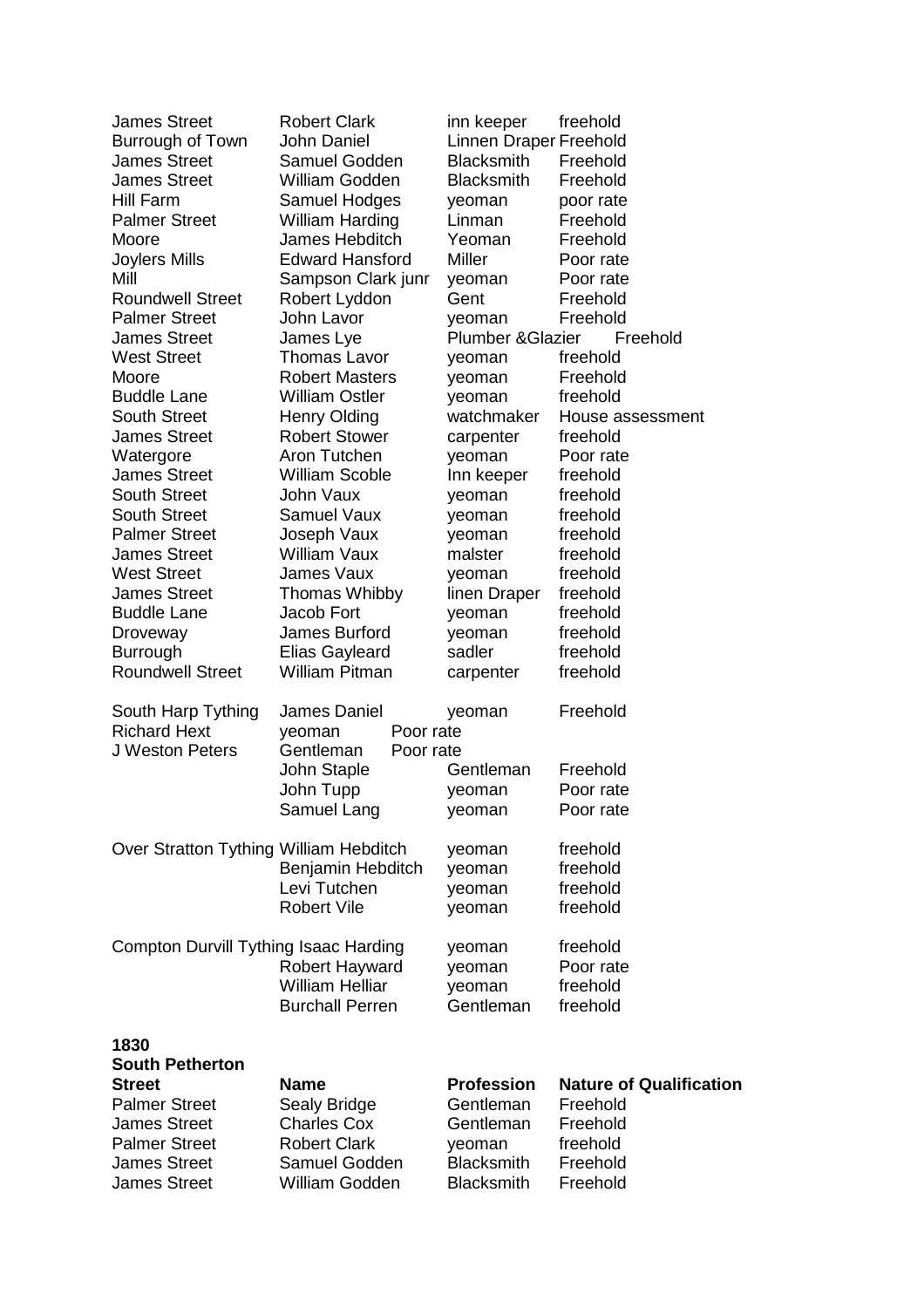| <b>James Street</b><br>Burrough of Town<br><b>James Street</b> | <b>Robert Clark</b><br><b>John Daniel</b><br>Samuel Godden    | inn keeper<br>Linnen Draper Freehold<br><b>Blacksmith</b> | freehold<br>Freehold           |
|----------------------------------------------------------------|---------------------------------------------------------------|-----------------------------------------------------------|--------------------------------|
| <b>James Street</b>                                            | William Godden                                                | <b>Blacksmith</b>                                         | Freehold                       |
| Hill Farm                                                      | Samuel Hodges                                                 | yeoman                                                    | poor rate                      |
| <b>Palmer Street</b>                                           | <b>William Harding</b>                                        | Linman                                                    | Freehold                       |
| Moore                                                          | James Hebditch                                                | Yeoman                                                    | Freehold                       |
| Joylers Mills                                                  | <b>Edward Hansford</b>                                        | Miller                                                    | Poor rate                      |
| Mill                                                           | Sampson Clark junr                                            | yeoman                                                    | Poor rate                      |
| <b>Roundwell Street</b>                                        | Robert Lyddon                                                 | Gent                                                      | Freehold                       |
| <b>Palmer Street</b>                                           | John Lavor                                                    | yeoman<br><b>Plumber &amp; Glazier</b>                    | Freehold<br>Freehold           |
| <b>James Street</b><br><b>West Street</b>                      | James Lye<br><b>Thomas Lavor</b>                              |                                                           | freehold                       |
| Moore                                                          | <b>Robert Masters</b>                                         | yeoman                                                    | Freehold                       |
| <b>Buddle Lane</b>                                             | <b>William Ostler</b>                                         | yeoman<br>yeoman                                          | freehold                       |
| <b>South Street</b>                                            | <b>Henry Olding</b>                                           | watchmaker                                                | House assessment               |
| <b>James Street</b>                                            | <b>Robert Stower</b>                                          | carpenter                                                 | freehold                       |
| Watergore                                                      | Aron Tutchen                                                  | yeoman                                                    | Poor rate                      |
| <b>James Street</b>                                            | <b>William Scoble</b>                                         | Inn keeper                                                | freehold                       |
| <b>South Street</b>                                            | John Vaux                                                     | yeoman                                                    | freehold                       |
| <b>South Street</b>                                            | <b>Samuel Vaux</b>                                            | yeoman                                                    | freehold                       |
| <b>Palmer Street</b>                                           | Joseph Vaux                                                   | yeoman                                                    | freehold                       |
| <b>James Street</b>                                            | <b>William Vaux</b>                                           | malster                                                   | freehold                       |
| <b>West Street</b>                                             | James Vaux                                                    | yeoman                                                    | freehold                       |
| <b>James Street</b>                                            | <b>Thomas Whibby</b>                                          | linen Draper                                              | freehold                       |
| <b>Buddle Lane</b>                                             | Jacob Fort                                                    | yeoman                                                    | freehold                       |
| Droveway                                                       | James Burford                                                 | yeoman                                                    | freehold                       |
| <b>Burrough</b>                                                | <b>Elias Gayleard</b>                                         | sadler                                                    | freehold                       |
| <b>Roundwell Street</b>                                        | <b>William Pitman</b>                                         | carpenter                                                 | freehold                       |
| South Harp Tything<br><b>Richard Hext</b><br>J Weston Peters   | James Daniel<br>Poor rate<br>yeoman<br>Gentleman<br>Poor rate | yeoman                                                    | Freehold                       |
|                                                                | John Staple                                                   | Gentleman                                                 | Freehold                       |
|                                                                | John Tupp                                                     | yeoman                                                    | Poor rate                      |
|                                                                | Samuel Lang                                                   | yeoman                                                    | Poor rate                      |
| Over Stratton Tything William Hebditch                         | Benjamin Hebditch                                             | yeoman<br>yeoman                                          | freehold<br>freehold           |
|                                                                | Levi Tutchen                                                  | yeoman                                                    | freehold                       |
|                                                                | <b>Robert Vile</b>                                            | yeoman                                                    | freehold                       |
| Compton Durvill Tything Isaac Harding                          |                                                               | yeoman                                                    | freehold<br>Poor rate          |
|                                                                | Robert Hayward<br><b>William Helliar</b>                      | yeoman<br>yeoman                                          | freehold                       |
|                                                                | <b>Burchall Perren</b>                                        | Gentleman                                                 | freehold                       |
| 1830<br><b>South Petherton</b>                                 |                                                               |                                                           |                                |
| <b>Street</b>                                                  | <b>Name</b>                                                   | <b>Profession</b>                                         | <b>Nature of Qualification</b> |
| <b>Palmer Street</b>                                           | Sealy Bridge                                                  | Gentleman                                                 | Freehold                       |
| <b>James Street</b>                                            | <b>Charles Cox</b>                                            | Gentleman                                                 | Freehold                       |
| <b>Palmer Street</b>                                           | <b>Robert Clark</b>                                           | yeoman                                                    | freehold                       |
| <b>James Street</b><br><b>James Street</b>                     | Samuel Godden<br><b>William Godden</b>                        | <b>Blacksmith</b><br><b>Blacksmith</b>                    | Freehold                       |
|                                                                |                                                               |                                                           | Freehold                       |